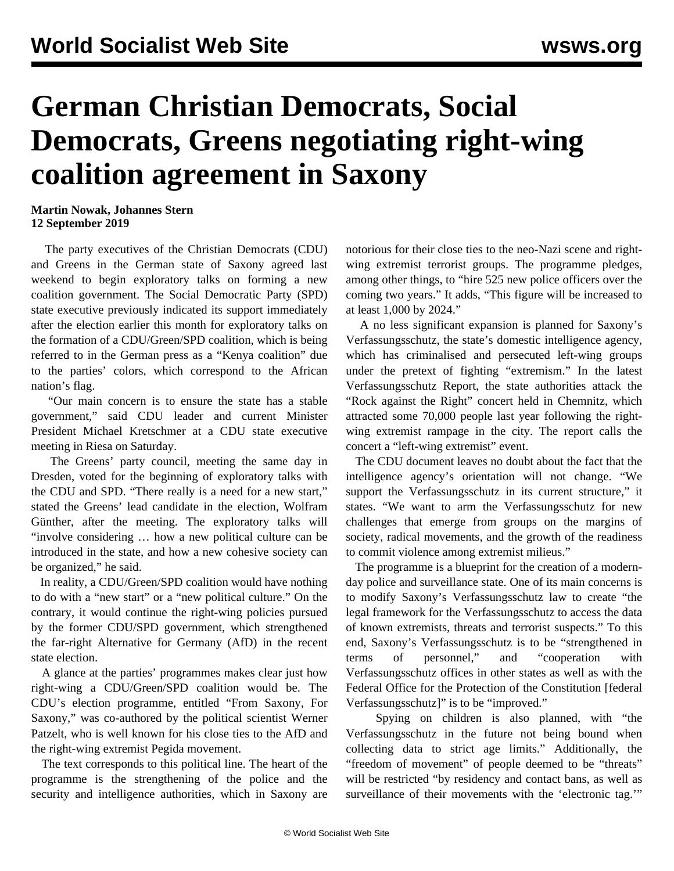## **German Christian Democrats, Social Democrats, Greens negotiating right-wing coalition agreement in Saxony**

## **Martin Nowak, Johannes Stern 12 September 2019**

 The party executives of the Christian Democrats (CDU) and Greens in the German state of Saxony agreed last weekend to begin exploratory talks on forming a new coalition government. The Social Democratic Party (SPD) state executive previously indicated its support immediately after the election earlier this month for exploratory talks on the formation of a CDU/Green/SPD coalition, which is being referred to in the German press as a "Kenya coalition" due to the parties' colors, which correspond to the African nation's flag.

 "Our main concern is to ensure the state has a stable government," said CDU leader and current Minister President Michael Kretschmer at a CDU state executive meeting in Riesa on Saturday.

 The Greens' party council, meeting the same day in Dresden, voted for the beginning of exploratory talks with the CDU and SPD. "There really is a need for a new start," stated the Greens' lead candidate in the election, Wolfram Günther, after the meeting. The exploratory talks will "involve considering … how a new political culture can be introduced in the state, and how a new cohesive society can be organized," he said.

 In reality, a CDU/Green/SPD coalition would have nothing to do with a "new start" or a "new political culture." On the contrary, it would continue the right-wing policies pursued by the former CDU/SPD government, which strengthened the far-right Alternative for Germany (AfD) in the recent state election.

 A glance at the parties' programmes makes clear just how right-wing a CDU/Green/SPD coalition would be. The CDU's election programme, entitled "From Saxony, For Saxony," was co-authored by the political scientist Werner Patzelt, who is well known for his close ties to the AfD and the right-wing extremist Pegida movement.

 The text corresponds to this political line. The heart of the programme is the strengthening of the police and the security and intelligence authorities, which in Saxony are notorious for their close ties to the neo-Nazi scene and rightwing extremist terrorist groups. The programme pledges, among other things, to "hire 525 new police officers over the coming two years." It adds, "This figure will be increased to at least 1,000 by 2024."

 A no less significant expansion is planned for Saxony's Verfassungsschutz, the state's domestic intelligence agency, which has criminalised and persecuted left-wing groups under the pretext of fighting "extremism." In the latest Verfassungsschutz Report, the state authorities attack the "Rock against the Right" concert held in Chemnitz, which attracted some 70,000 people last year following the rightwing extremist rampage in the city. The report calls the concert a "left-wing extremist" event.

 The CDU document leaves no doubt about the fact that the intelligence agency's orientation will not change. "We support the Verfassungsschutz in its current structure," it states. "We want to arm the Verfassungsschutz for new challenges that emerge from groups on the margins of society, radical movements, and the growth of the readiness to commit violence among extremist milieus."

 The programme is a blueprint for the creation of a modernday police and surveillance state. One of its main concerns is to modify Saxony's Verfassungsschutz law to create "the legal framework for the Verfassungsschutz to access the data of known extremists, threats and terrorist suspects." To this end, Saxony's Verfassungsschutz is to be "strengthened in terms of personnel," and "cooperation with Verfassungsschutz offices in other states as well as with the Federal Office for the Protection of the Constitution [federal Verfassungsschutz]" is to be "improved."

 Spying on children is also planned, with "the Verfassungsschutz in the future not being bound when collecting data to strict age limits." Additionally, the "freedom of movement" of people deemed to be "threats" will be restricted "by residency and contact bans, as well as surveillance of their movements with the 'electronic tag.'"